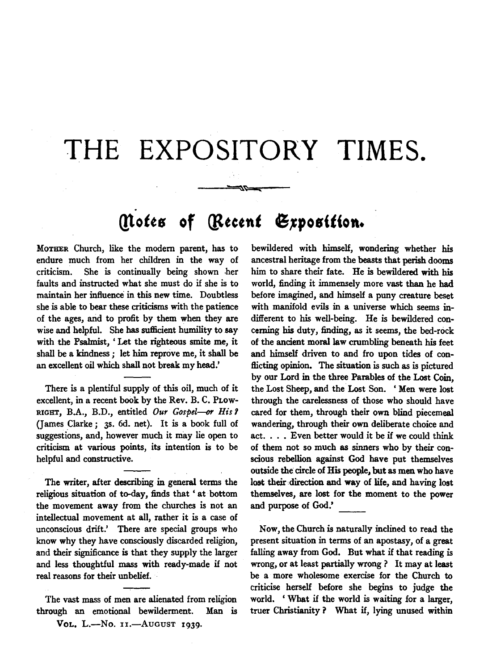## THE EXPOSITORY TIMES.

~~~ ... ---

## **(!totts of** *Qitctnt* **61po•(f(on.**

MOTHER Church, like the modem parent, has to endure much from her children in the way of criticism. She is continually being shown -her faults and instructed what she must do if she is to maintain her influence in this new time. Doubtless she is able to bear these criticisms with the patience of the ages, arid to profit by them when they are wise and helpful. She bas sufficient humility to say with the Psalmist, ' Let the righteous smite me, it shall be a kindness ; let him reprove me, it shall be an excellent oil which shall not break my head.'

There is a plentiful supply of this oil, much of it excellent, in a recent book by the Rev. B. C. PLOw-RIGHT, B.A., *B.D.,* entitled *Our Gospel-or His 1*  (James Clarke; 3s. 6d. net). It is a book full of suggestions, and, however much it may lie open to criticism at various points, its intention is to be helpful and constructive.

The writer, after describing in general terms the religious situation of to-day, finds that 'at bottom the movement away from the churches is not an intellectual movement at all, rather it is a case of unconscious drift.' There are special groups who know why they have consciously discarded religion, and their significance is that they supply the larger and less thoughtful mass with ready-made if not real reasons for their unbelief.

The vast mass of men are alienated from religion through an emotional bewilderment. Man is Vol. L.-No. 11.-AUGUST 1939.

bewildered with himself, wondering whether his ancestral heritage from the beasts that perish dooms him to share their fate. He is bewildered with his world, finding it immensely more vast than he had before imagined, and himself a puny creature beset with manifold evils in a universe which seems indifferent to his well-being. He is bewildered concerning his duty, finding, as it seems, the bed-rock of the ancient moral law crumbling beneath his feet and himself driven to and fro upon tides of conflicting opinion. The situation is such as is pictured by our Lord in the three Parables of the Lost Coin, the Lost Sheep, and the Lost Son. ' Men were lost through the carelessness of those who should have cared for them, through their own blind piecemeal wandering, through their own deliberate choice and act. • . . Even better would it be if we could think of them not so much as sinners who by their conscious rebellion against God have put themselves outside the circle of His people, but as men who have lost their direction and way of life, and having lost themselves, are lost for the moment to the power and purpose of God.'

Now, the Church is naturally inclined to read the present situation in terms of an apostasy, of a great falling away from God. But what if that reading is wrong, or at least partially wrong? It may at least be a more wholesome exercise for the Church to criticise herself before she begins to judge the world. ' What if the world is waiting for a larger, truer Christianity ? What if, lying unused within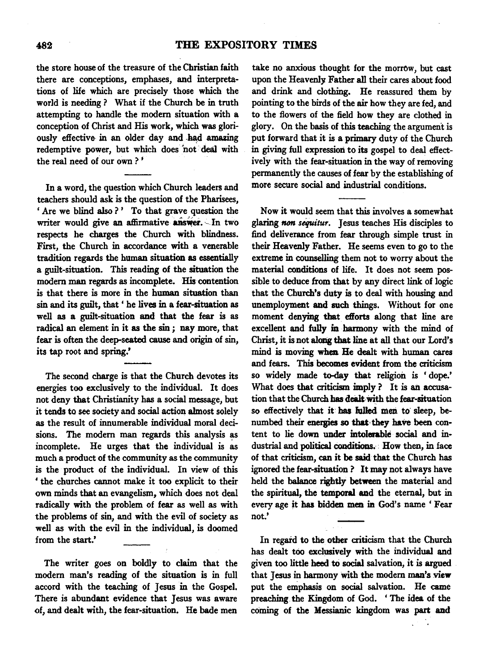## 482 THE EXPOSITORY TIMES

the store house of the treasure of the Christian faith there are conceptions, emphases, and interpretations of life which are precisely those which the world is needing ? What if the Church be in truth attempting to handle the modem situation with a conception of Christ and His work, which was gloriously effective in an older day and had amazing redemptive power, but which does not deal with the real need of our own ? '

In a word, the question which Church leaders and teachers should ask is the question of the Pharisees, ' Are we blind also ?' To that grave question the writer would give an affirmative answer. In two respects he charges the Church with blindness. First, the Church in accordance with a venerable tradition regards the human situation as essentially a guilt-situation. This reading of the situation the modem man regards as incomplete. His contention is that there is more in the human situation than sin and its guilt, that ' he lives in a fear-situation as well as a guilt-situation and that the fear is as radical an element in it as the sin ; nay more, that fear is often the deep-seated cause and origin of sin, its tap root and spring.'

The second charge is that the Church devotes its energies too exclusively to the individual. It does not deny that Christianity has a social message, but it tends to see society and social action almost solely as the result of innumerable individual moral decisions. The modern man regards this analysis as incomplete. He urges that the individual is as much a product of the community as the community is the product of the individual. In view of this ' the churches cannot make it too explicit to their own minds that an evangelism, which does not deal radically with the problem of fear as well as with the problems of sin, and with the evil of society as well as with the evil in the individual, is doomed from the start.'

The writer goes on boldly to claim that the modem man's reading of the situation is in full accord with the teaching of Jesus in the Gospel. There is abundant evidence that Jesus was aware of, and dealt with, the fear-situation. He bade men

take no anxious thought for the morrow, but cast upon the Heavenly Father all their cares about food and drink and clothing. He reassured them by pointing to the birds of the air how they are fed, and to the flowers of the field how they are clothed in glory. On the basis of this teaching the argument is put forward that it is a primary duty of the Church in giving full expression to its gospel to deal efiectiveiy with the fear-situation in the way of removing permanently the causes of fear by the establishing of more secure social and industrial conditions.

Now it would seem that this involves a somewhat glaring non sequitur. Jesus teaches His disciples to find deliverance from fear through simple trust in their Heavenly Father. He seems even to go to the extreme in counselling them not to worry about the material conditions of life. It does not seem possible to deduce from that by any direct link of logic that the Church's duty is to deal with housing and unemployment and such things. Without for one moment denying that efiorts along that line are excellent and fully in harmony with the mind of Christ, it is not along that line at all that our Lord's mind is moving when. He dealt with human cares and fears. This becomes evident from the criticism so widely made to-day that religion is ' dope.' What does that criticism imply ? It is an accusation that the Church has dealt with the fear-situation so effectively that it has fulled men to sleep, benumbed their energies so that they have been content to lie down under intolerable social and industrial and political conditions. How then, in face of that criticism, can it be said that the Church has ignored the fear-situation ? It may not always have held the balance rightly between the material and the spiritual, the temporal and the eternal, but in every age it has bidden men in God's name' Fear not.'

In regard to the other criticism that the Church has dealt too exclusively with the individual and given too little heed to social salvation, it is argued that Jesus in harmony with the modem man's view put the emphasis on social salvation. He came preaching. the Kingdom of God. ' The idea of the coming of the Messianic kingdom was part and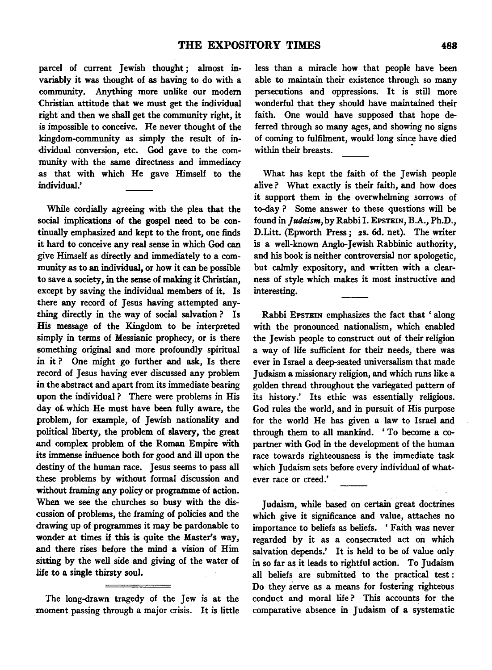parcel of current Jewish thought; almost invariably it was thought of as having to do with a community. Anything more unlike our modem Christian attitude that we must get the individual right and then we shall get the community right, it is impossible to conceive. Re never thought of the kingdom-community as simply the result of individual conversion, etc. God gave to the community with the same directness and immediacy as that with which He gave Himself to the individual.'

While cordially agreeing with the plea that the social implications of the gospel need to be continually emphasized and kept to the front, one finds it hard to conceive any real sense in which God can give Himself as directly and immediately to a community as to an individual, or how it can be possible to save a society, in the sense of making it Christian, except by saving the individual members of it. Is there any record of Jesus having attempted anything directly in the way of social salvation ? Is His message of the Kingdom to be interpreted simply in terms of Messianic prophecy, or is there something original and more profoundly spiritual in it? One might go further and ask, Is there record of Jesus having ever discussed any problem in the abstract and apart from its immediate bearing upon the individual ? There were problems in His day of. which He must have been fully aware, the problem, for example, of Jewish nationality and political liberty, the problem of slavery, the great and complex problem of the Roman Empire with its immense influence both for good and ill upon the destiny of the human race. Jesus seems to pass all these problems by without formal discussion and without framing any policy or programme of action. When we see the churches so busy with the discussion of problems, the framing of policies and the drawing up of programmes it may be pardonable to wonder at times if this is quite the Master's way, and there rises before the mind a vision of Him sitting by the well side and giving of the water of life to a single thirsty soul.

The long-drawn tragedy of the Jew is at the moment passing through a major crisis. It is little less than a miracle how that people have been able to maintain their existence through so many persecutions and oppressions. It is still more wonderful that they should have maintained their faith. One would have supposed that hope deferred through so many ages, and showing no signs of coming to fulfilment, would long since have died within their breasts.

What has kept the faith of the Jewish people alive? What exactly is their faith, and how does it support them in the overwhelming sorrows of to-day ? Some answer to these questions will be found in *Judaism,* by Rabbi I. EPSTEIN, B.A., Ph.D., D.Litt. (Epworth Press; 2s. 6d. net). The writer is a well-known Anglo-Jewish Rabbinic authority, and his book is neither controversial nor apologetic, but calmly expository, and written with a clearness of style which makes it most instructive and interesting.

Rabbi EPSTEIN emphasizes the fact that ' along with the pronounced nationalism, which enabled the Jewish people to construct out of their religion a way of life sufficient for their needs, there was ever in Israel a deep-seated universalism that made Judaism a missionary religion, and which runs like a golden thread throughout the variegated pattern of its history.' Its ethic was essentially religious. God rules the world, and in pursuit of His purpose for the world He has given a law to Israel and through them to all mankind. ' To become a copartner with God in the development of the human race towards righteousness is the immediate task which Judaism sets before every individual of whatever race or creed.'

Judaism, while based on certain great doctrines which give it significance and value, attaches no importance to beliefs as beliefs. ' Faith was never regarded by it as a consecrated act on which salvation depends.' It is held to be of value only in so far as it leads to rightful action. To Judaism all beliefs are submitted to the practical test : Do they serve as a means for fostering righteous conduct and moral life ? This accounts for the comparative absence in Judaism of a systematic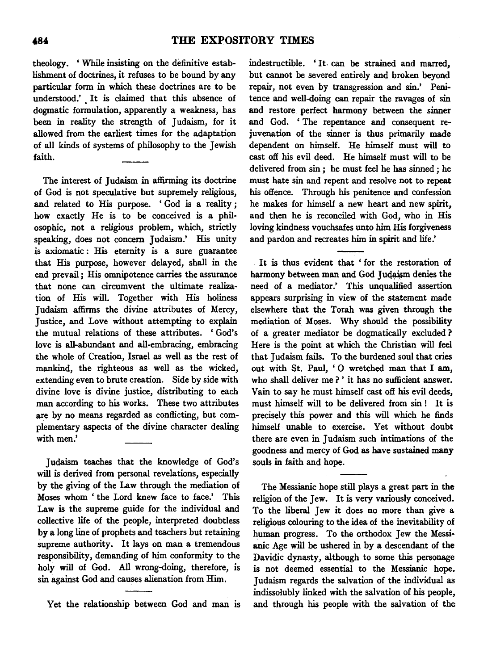theology. ' While insisting on the definitive establishment of doctrines, it refuses to be bound by any particular form in which these doctrines are to be understood.' It is claimed that this absence of dogmatic formulation, apparently a weakness, has been in reality the strength of Judaism, for it allowed from the earliest times for the adaptation of all kinds of systems of philosophy to the Jewish faith.

The interest of Judaism in affirming its doctrine of God is not speculative but supremely religious, and related to His purpose. ' God is a reality ; how exactly He is to be conceived is a philosophic, not a religious problem, which, strictly speaking, does not concern Judaism.' His unity is axiomatic : His eternity is a sure guarantee that His purpose, however delayed, shall in the end prevail ; His omnipotence carries the assurance that none can circumvent the ultimate realization of His will. Together with His holiness Judaism affirms the divine attributes of Mercy, Justice, and Love without attempting to explain the mutual relations of these attributes. 'God's love is all-abundant and all-embracing, embracing the whole of Creation, Israel as well as the rest of mankind, the righteous as well as the wicked, extending even to brute creation. Side by side with divine love is divine justice, distributing to each man according to his works. These two attributes are by no means regarded as conflicting, but complementary aspects of the divine character dealing with men.'

Judaism teaches that the knowledge of God's will is derived from personal revelations, especially by the giving of the Law through the mediation of Moses whom ' the Lord knew face to face.' This Law is the supreme guide for the individual and collective life of the people, interpreted doubtless by a long line of prophets and teachers but retaining supreme authority. It lays on man a tremendous responsibility, demanding of him conformity to the holy will of God. All wrong-doing, therefore, is sin against God and causes alienation from Him.

Yet the relationship between God and man is

indestructible. ' It. can be strained and marred, but cannot be severed entirely and broken beyond repair, not even by transgression and sin.' Penitence and well-doing can repair the ravages of sin and restore perfect harmony between the sinner and God. 'The repentance and consequent rejuvenation of the sinner is thus primarily made dependent on himself. He himself must will to cast ofi his evil deed. He himself must will to be delivered from sin ; he must feel he has sinned ; he must hate sin and repent and resolve not to repeat his offence. Through his penitence and confession he makes for himself a new heart and new spirit, and then he is reconciled with God, who in His loving kindness vouchsafes unto him His forgiveness and pardon and recreates him in spirit and life.'

It is thus evident that ' for the restoration of harmony between man and God Judaism denies the need of a mediator.' This unqualified assertion appears surprising in view of the statement made elsewhere that the Torah was given through the mediation of Moses. Why should the possibility of a greater mediator be dogmatically excluded ? Here is the point at which the Christian will feel that Judaism fails. To the burdened soul that cries out with St. Paul, ' 0 wretched man that I am, who shall deliver me?' it has no sufficient answer. Vain to say he must himself cast ofi his evil deeds, must himself will to be delivered from sin ! It is precisely this power and this will which he finds himself unable to exercise. Yet without doubt there are even in Judaism such intimations of the goodness and mercy of God as have sustained many souls in faith and hope.

The Messianic hope still plays a great part in the religion of the Jew. It is very variously conceived. To the liberal Jew it does no more than give a religious colouring to the idea of the inevitability of human progress. To the orthodox Jew the Messianic Age will be ushered in by a descendant of the Davidic dynasty, although to some this personage is not deemed essential to the Messianic hope. Judaism regards the salvation of the individual as indissolubly linked with the salvation of his people, and through his people with the salvation of the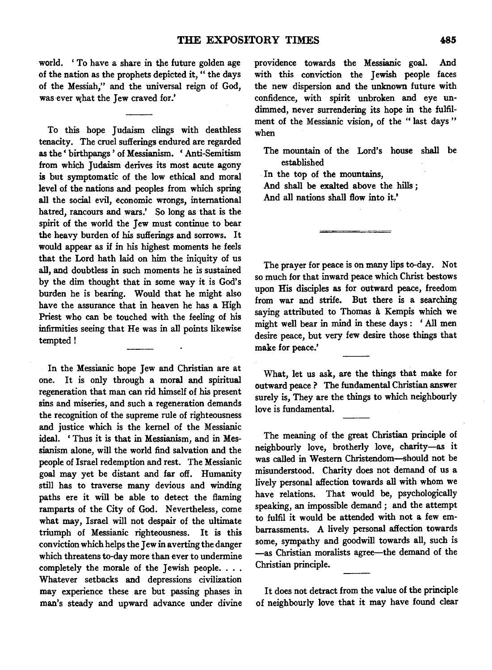world. ' To have a share in the future golden age of the nation as the prophets depicted it, " the days of the Messiah," and the universal reign of God, was ever what the Jew craved for.'

To this hope Judaism clings with deathless tenacity. The cruel sufferings endured are regarded as the ' birthpangs ' of Messianism. ' Anti-Semitism from which Judaism derives its most acute agony is but symptomatic of the low ethical and moral level of the nations and peoples from which spring all the social evil, economic wrongs, international hatred, rancours and wars.' So long as that is the spirit of the world the Jew must continue to bear the heavy burden of his sufferings and sorrows. It would appear as if in his highest moments he feels that the Lord hath laid on him the iniquity of us all, and doubtless in such moments he is sustained by the dim thought that in some way it is God's burden he is bearing. Would that he might also have the assurance that in heaven he has a High Priest who can be touched with the feeling of his infirmities seeing that He was in all points likewise tempted!

In the Messianic hope Jew and Christian are at one. It is only through a moral and spiritual regeneration that man can rid himself of his present sins and miseries, and such a regeneration demands the recognition of the supreme rule of righteousness and justice which is the kernel of the Messianic ideal. ' Thus it is that in Messianism, and in Messianism alone, will the world find salvation and the people of Israel redemption and rest. The Messianic goal may yet be distant and far off. Humanity still has to traverse many devious and winding paths ere it will be able to detect the flaming ramparts of the City of God. Nevertheless, come what may, Israel will not despair of the ultimate triumph of Messianic righteousness. It is this conviction which helps the Jew in averting the danger which threatens to-day more than ever to undermine completely the morale of the Jewish people. . . . Whatever setbacks and depressions civilization may experience these are but passing phases in man's steady and upward advance under divine providence towards the Messianic goal. And with this conviction the Jewish people faces the new dispersion and the unknown future with confidence, with spirit unbroken and eye un· dimmed, never surrendering its hope in the fulfilment of the Messianic vision, of the " last days " when

The mountain of the Lord's house shall be established

In the top of the mountains, And shall be exalted above the hills; And all nations shall flow into it.'

The prayer for peace is on many lips to-day. Not so much for that inward peace which Christ bestows upon His disciples as for outward peace, freedom from war and strife. But there is a searching saying attributed to Thomas a Kempis which we might well bear in mind in these days : ' All men desire peace, but very few desire those things that make for peace.'

What, let us ask, are the things that make for outward peace ? The fundamental Christian answer surely is, They are the things to which neighbourly love is fundamental.

The meaning of the great Christian principle of neighbourly love, brotherly love, charity-as it was called in Western Christendom-should not be misunderstood. Charity does not demand of us a lively personal affection towards all with whom we have relations. That would be, psychologically speaking, an impossible demand ; and the attempt to fulfil it would be attended with not a few embarrassments. A lively personal affection towards some, sympathy and goodwill towards all, such is -as Christian moralists agree-the demand of the Christian principle.

It does not detract from the value of the principle of neighbourly love that it may have found clear